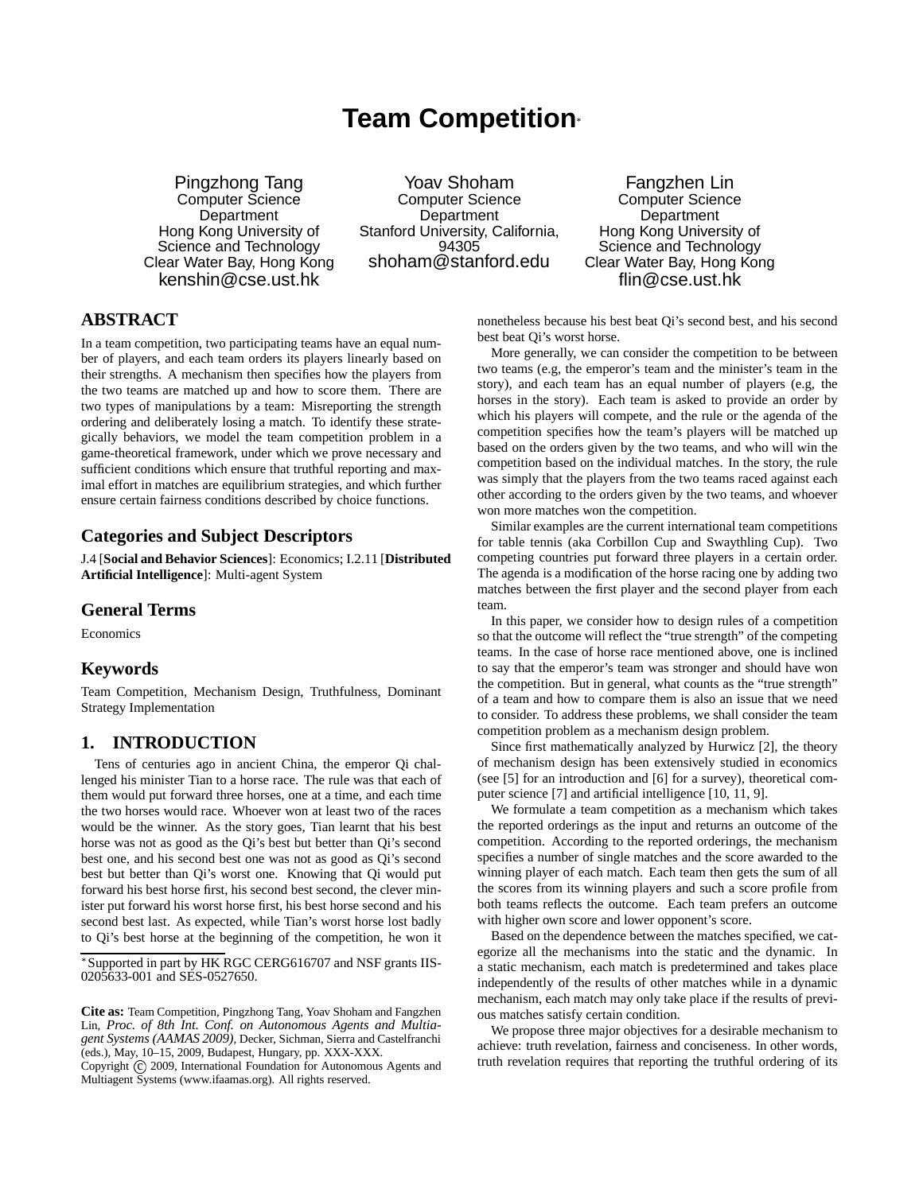# **Team Competition**

Pingzhong Tang Computer Science **Department** Hong Kong University of Science and Technology Clear Water Bay, Hong Kong kenshin@cse.ust.hk

Yoav Shoham Computer Science **Department** Stanford University, California, 94305 shoham@stanford.edu

Fangzhen Lin Computer Science **Department** Hong Kong University of Science and Technology Clear Water Bay, Hong Kong flin@cse.ust.hk

# **ABSTRACT**

In a team competition, two participating teams have an equal number of players, and each team orders its players linearly based on their strengths. A mechanism then specifies how the players from the two teams are matched up and how to score them. There are two types of manipulations by a team: Misreporting the strength ordering and deliberately losing a match. To identify these strategically behaviors, we model the team competition problem in a game-theoretical framework, under which we prove necessary and sufficient conditions which ensure that truthful reporting and maximal effort in matches are equilibrium strategies, and which further ensure certain fairness conditions described by choice functions.

## **Categories and Subject Descriptors**

J.4 [**Social and Behavior Sciences**]: Economics; I.2.11 [**Distributed Artificial Intelligence**]: Multi-agent System

## **General Terms**

Economics

## **Keywords**

Team Competition, Mechanism Design, Truthfulness, Dominant Strategy Implementation

# **1. INTRODUCTION**

Tens of centuries ago in ancient China, the emperor Qi challenged his minister Tian to a horse race. The rule was that each of them would put forward three horses, one at a time, and each time the two horses would race. Whoever won at least two of the races would be the winner. As the story goes, Tian learnt that his best horse was not as good as the Qi's best but better than Qi's second best one, and his second best one was not as good as Qi's second best but better than Qi's worst one. Knowing that Qi would put forward his best horse first, his second best second, the clever minister put forward his worst horse first, his best horse second and his second best last. As expected, while Tian's worst horse lost badly to Qi's best horse at the beginning of the competition, he won it nonetheless because his best beat Qi's second best, and his second best beat Qi's worst horse.

More generally, we can consider the competition to be between two teams (e.g, the emperor's team and the minister's team in the story), and each team has an equal number of players (e.g, the horses in the story). Each team is asked to provide an order by which his players will compete, and the rule or the agenda of the competition specifies how the team's players will be matched up based on the orders given by the two teams, and who will win the competition based on the individual matches. In the story, the rule was simply that the players from the two teams raced against each other according to the orders given by the two teams, and whoever won more matches won the competition.

Similar examples are the current international team competitions for table tennis (aka Corbillon Cup and Swaythling Cup). Two competing countries put forward three players in a certain order. The agenda is a modification of the horse racing one by adding two matches between the first player and the second player from each team.

In this paper, we consider how to design rules of a competition so that the outcome will reflect the "true strength" of the competing teams. In the case of horse race mentioned above, one is inclined to say that the emperor's team was stronger and should have won the competition. But in general, what counts as the "true strength" of a team and how to compare them is also an issue that we need to consider. To address these problems, we shall consider the team competition problem as a mechanism design problem.

Since first mathematically analyzed by Hurwicz [2], the theory of mechanism design has been extensively studied in economics (see [5] for an introduction and [6] for a survey), theoretical computer science [7] and artificial intelligence [10, 11, 9].

We formulate a team competition as a mechanism which takes the reported orderings as the input and returns an outcome of the competition. According to the reported orderings, the mechanism specifies a number of single matches and the score awarded to the winning player of each match. Each team then gets the sum of all the scores from its winning players and such a score profile from both teams reflects the outcome. Each team prefers an outcome with higher own score and lower opponent's score.

Based on the dependence between the matches specified, we categorize all the mechanisms into the static and the dynamic. In a static mechanism, each match is predetermined and takes place independently of the results of other matches while in a dynamic mechanism, each match may only take place if the results of previous matches satisfy certain condition.

We propose three major objectives for a desirable mechanism to achieve: truth revelation, fairness and conciseness. In other words, truth revelation requires that reporting the truthful ordering of its

Supported in part by HK RGC CERG616707 and NSF grants IIS-0205633-001 and SES-0527650.

**Cite as:** Team Competition, Pingzhong Tang, Yoav Shoham and Fangzhen Lin, *Proc. of 8th Int. Conf. on Autonomous Agents and Multiagent Systems (AAMAS 2009)*, Decker, Sichman, Sierra and Castelfranchi (eds.), May, 10–15, 2009, Budapest, Hungary, pp. XXX-XXX.

Copyright (C) 2009, International Foundation for Autonomous Agents and Multiagent Systems (www.ifaamas.org). All rights reserved.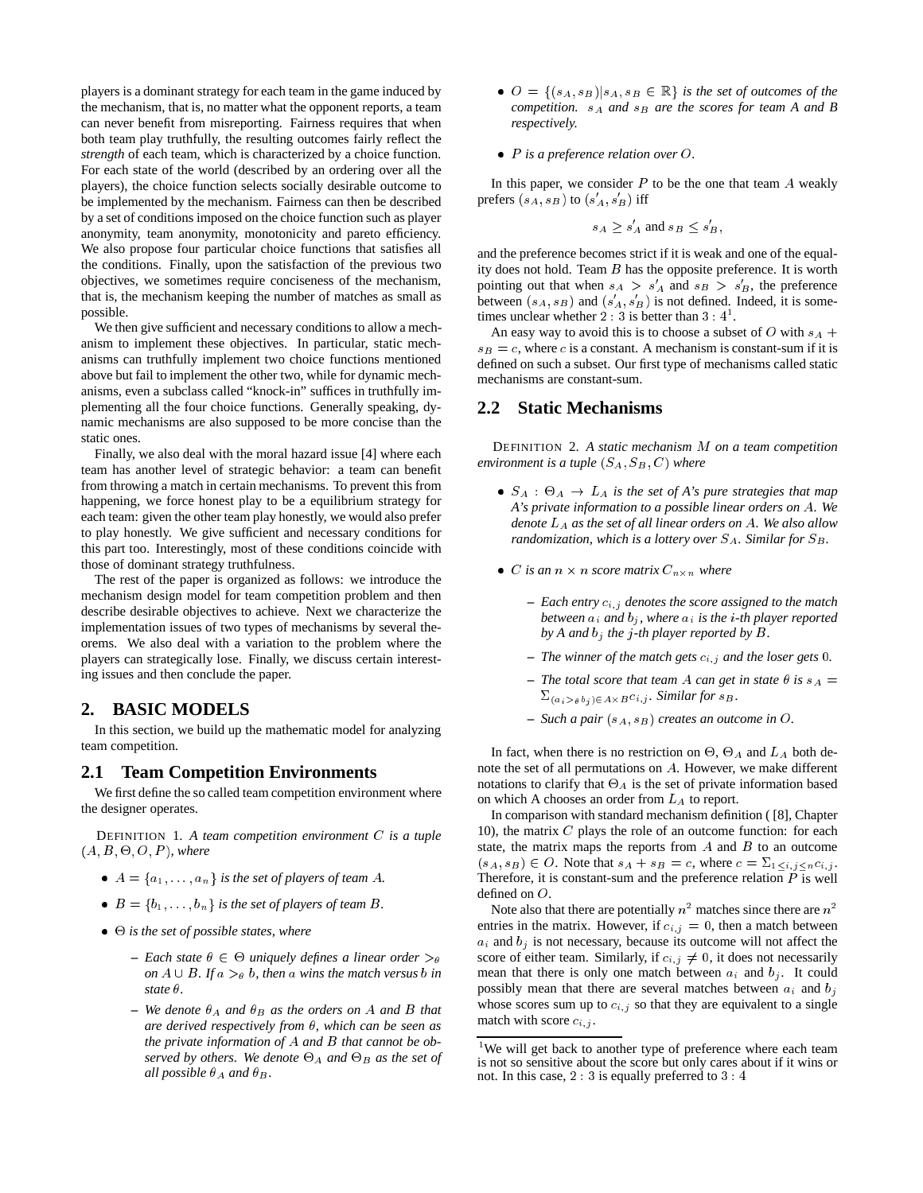players is a dominant strategy for each team in the game induced by the mechanism, that is, no matter what the opponent reports, a team can never benefit from misreporting. Fairness requires that when both team play truthfully, the resulting outcomes fairly reflect the *strength* of each team, which is characterized by a choice function. For each state of the world (described by an ordering over all the players), the choice function selects socially desirable outcome to be implemented by the mechanism. Fairness can then be described by a set of conditions imposed on the choice function such as player anonymity, team anonymity, monotonicity and pareto efficiency. We also propose four particular choice functions that satisfies all the conditions. Finally, upon the satisfaction of the previous two objectives, we sometimes require conciseness of the mechanism, that is, the mechanism keeping the number of matches as small as possible.

We then give sufficient and necessary conditions to allow a mechanism to implement these objectives. In particular, static mechanisms can truthfully implement two choice functions mentioned above but fail to implement the other two, while for dynamic mechanisms, even a subclass called "knock-in" suffices in truthfully implementing all the four choice functions. Generally speaking, dynamic mechanisms are also supposed to be more concise than the static ones.

Finally, we also deal with the moral hazard issue [4] where each team has another level of strategic behavior: a team can benefit from throwing a match in certain mechanisms. To prevent this from happening, we force honest play to be a equilibrium strategy for each team: given the other team play honestly, we would also prefer to play honestly. We give sufficient and necessary conditions for this part too. Interestingly, most of these conditions coincide with those of dominant strategy truthfulness.

The rest of the paper is organized as follows: we introduce the mechanism design model for team competition problem and then describe desirable objectives to achieve. Next we characterize the implementation issues of two types of mechanisms by several theorems. We also deal with a variation to the problem where the players can strategically lose. Finally, we discuss certain interesting issues and then conclude the paper.

## **2. BASIC MODELS**

In this section, we build up the mathematic model for analyzing team competition.

## **2.1 Team Competition Environments**

We first define the so called team competition environment where the designer operates.

DEFINITION 1. *A team competition environment* C *is a tuple*  $(A, B, \Theta, O, P)$ *, where* 

- $A = \{a_1, \ldots, a_n\}$  *is the set of players of team A.*
- $\bullet$   $B = \{b_1, \ldots, b_n\}$  is the set of players of team B.
- $\bullet$   $\Theta$  *is the set of possible states, where* 
	- $-$  *Each state*  $\theta \in \Theta$  *uniquely defines a linear order*  $>_{\theta}$ *on*  $A \cup B$ *. If*  $a >_{\theta} b$ *, then* a *wins the match versus b in state*  $\theta$ .
	- $-$  *We denote*  $\theta_A$  *and*  $\theta_B$  *as the orders on* A *and* B *that are derived respectively from , which can be seen as the private information of* A *and* <sup>B</sup> *that cannot be ob*served by others. We denote  $\Theta_A$  and  $\Theta_B$  as the set of *all possible*  $\theta_A$  *and*  $\theta_B$ *.*
- $\bullet$   $O = \{ (s_A, s_B) | s_A, s_B \in \mathbb{R} \}$  *is the set of outcomes of the competition.*  $s_A$  *and*  $s_B$  *are the scores for team A and B respectively.*
- <sup>P</sup> *is a preference relation over* O*.*

In this paper, we consider  $P$  to be the one that team  $A$  weakly prefers  $(s_A, s_B)$  to  $(s'_A, s'_B)$  iff

$$
s_A \ge s'_A \text{ and } s_B \le s'_B,
$$

and the preference becomes strict if it is weak and one of the equality does not hold. Team  $B$  has the opposite preference. It is worth pointing out that when  $s_A > s'_A$  and  $s_B > s'_B$ , the preference between  $(s_A, s_B)$  and  $(s'_A, s'_B)$  is not defined. Indeed, it is sometimes unclear whether  $2 \div 3$  is better than  $3 \div 4^1$ .

An easy way to avoid this is to choose a subset of O with  $s_A +$  $s_B = c$ , where c is a constant. A mechanism is constant-sum if it is defined on such a subset. Our first type of mechanisms called static mechanisms are constant-sum.

## **2.2 Static Mechanisms**

DEFINITION 2. *A static mechanism* <sup>M</sup> *on a team competition environment is a tuple*  $(S_A, S_B, C)$  *where* 

- $S_A$  :  $\Theta_A$   $\rightarrow$   $L_A$  *is the set of A's pure strategies that map A's private information to a possible linear orders on* A*. We denote* LA *as the set of all linear orders on* A*. We also allow randomization, which is a lottery over*  $S_A$ *. Similar for*  $S_B$ *.*
- *C* is an  $n \times n$  score matrix  $C_{n \times n}$  where
	- **–** *Each entry* ci;j *denotes the score assigned to the match between*  $a_i$  *and*  $b_j$ *, where*  $a_i$  *is the i-th player reported* by A and  $b_i$  the j-th player reported by B.
	- **–** *The winner of the match gets* ci;j *and the loser gets* <sup>0</sup>*.*
	- $-$  *The total score that team A can get in state*  $\theta$  *is*  $s_A =$  $\sum_{(a_i > \theta b_i) \in A \times B} c_{i,j}$ *. Similar for*  $s_B$ *.*
	- $-$  *Such a pair*  $(s_A, s_B)$  *creates an outcome in O.*

In fact, when there is no restriction on  $\Theta$ ,  $\Theta_A$  and  $L_A$  both denote the set of all permutations on A. However, we make different notations to clarify that  $\Theta_A$  is the set of private information based on which A chooses an order from  $L_A$  to report.

In comparison with standard mechanism definition ( [8], Chapter 10), the matrix C plays the role of an outcome function: for each state, the matrix maps the reports from  $A$  and  $B$  to an outcome  $(s_A, s_B) \in O$ . Note that  $s_A + s_B = c$ , where  $c = \sum_{1 \leq i,j \leq n} c_{i,j}$ . Therefore, it is constant-sum and the preference relation  $P$  is well defined on O.

Note also that there are potentially  $n^2$  matches since there are  $n^2$ entries in the matrix. However, if  $c_{i,j} = 0$ , then a match between  $a_i$  and  $b_j$  is not necessary, because its outcome will not affect the score of either team. Similarly, if  $c_{i,j} \neq 0$ , it does not necessarily mean that there is only one match between  $a_i$  and  $b_j$ . It could possibly mean that there are several matches between  $a_i$  and  $b_j$ whose scores sum up to  $c_{i,j}$  so that they are equivalent to a single match with score  $c_{i,j}$ .

<sup>&</sup>lt;sup>1</sup>We will get back to another type of preference where each team is not so sensitive about the score but only cares about if it wins or not. In this case, <sup>2</sup> : <sup>3</sup> is equally preferred to <sup>3</sup> : <sup>4</sup>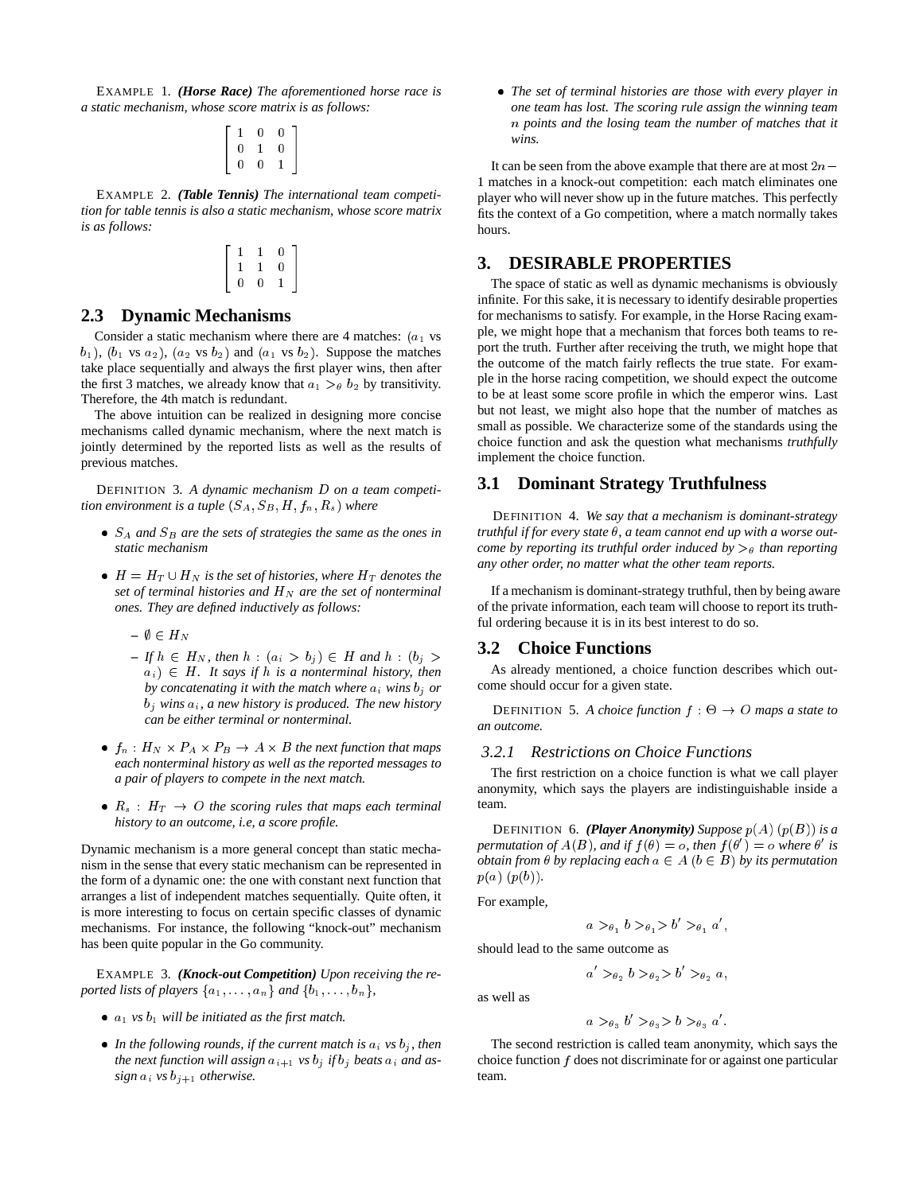EXAMPLE 1. *(Horse Race) The aforementioned horse race is a static mechanism, whose score matrix is as follows:*

$$
\left[\begin{array}{ccc} 1 & 0 & 0 \\ 0 & 1 & 0 \\ 0 & 0 & 1 \end{array}\right]
$$

EXAMPLE 2. *(Table Tennis) The international team competition for table tennis is also a static mechanism, whose score matrix is as follows:*

$$
\left[\begin{array}{ccc} 1 & 1 & 0 \\ 1 & 1 & 0 \\ 0 & 0 & 1 \end{array}\right]
$$

# **2.3 Dynamic Mechanisms**

Consider a static mechanism where there are 4 matches:  $(a_1$  vs  $(b_1)$ ,  $(b_1 \text{ vs } a_2)$ ,  $(a_2 \text{ vs } b_2)$  and  $(a_1 \text{ vs } b_2)$ . Suppose the matches take place sequentially and always the first player wins, then after the first 3 matches, we already know that  $a_1 >_\theta b_2$  by transitivity. Therefore, the 4th match is redundant.

The above intuition can be realized in designing more concise mechanisms called dynamic mechanism, where the next match is jointly determined by the reported lists as well as the results of previous matches.

DEFINITION 3. *A dynamic mechanism* <sup>D</sup> *on a team competition environment is a tuple*  $(S_A, S_B, H, f_n, R_s)$  *where* 

- $S_A$  *and*  $S_B$  *are the sets of strategies the same as the ones in static mechanism*
- $\bullet$   $H = H_T \cup H_N$  *is the set of histories, where*  $H_T$  *denotes the set of terminal histories and*  $H_N$  *are the set of nonterminal ones. They are defined inductively as follows:*
	- $\emptyset$   $\in$   $H_N$
	- $-If h \in H_N$ , then  $h : (a_i > b_j) \in H$  and  $h : (b_j >$  $a_i$ )  $\in$  *H. It says if h is a nonterminal history, then by concatenating it with the match where*  $a_i$  *wins*  $b_i$  *or*  $b_i$  wins  $a_i$ , a new history is produced. The new history *can be either terminal or nonterminal.*
- $f_n : H_N \times P_A \times P_B \to A \times B$  the next function that maps *each nonterminal history as well as the reported messages to a pair of players to compete in the next match.*
- $R_s$  :  $H_T \rightarrow O$  *the scoring rules that maps each terminal history to an outcome, i.e, a score profile.*

Dynamic mechanism is a more general concept than static mechanism in the sense that every static mechanism can be represented in the form of a dynamic one: the one with constant next function that arranges a list of independent matches sequentially. Quite often, it is more interesting to focus on certain specific classes of dynamic mechanisms. For instance, the following "knock-out" mechanism has been quite popular in the Go community.

EXAMPLE 3. *(Knock-out Competition) Upon receiving the reported lists of players*  $\{a_1, \ldots, a_n\}$  *and*  $\{b_1, \ldots, b_n\}$ ,

- $a_1$  *vs*  $b_1$  *will be initiated as the first match.*
- In the following rounds, if the current match is  $a_i$  *vs*  $b_j$ *, then the next function will assign*  $a_{i+1}$  *vs*  $b_j$  *if*  $b_j$  *beats*  $a_i$  *and* as*sign*  $a_i$  *vs*  $b_{j+1}$  *otherwise.*

 *The set of terminal histories are those with every player in one team has lost. The scoring rule assign the winning team* <sup>n</sup> *points and the losing team the number of matches that it wins.*

It can be seen from the above example that there are at most  $2n-$ <sup>1</sup> matches in a knock-out competition: each match eliminates one player who will never show up in the future matches. This perfectly fits the context of a Go competition, where a match normally takes hours.

## **3. DESIRABLE PROPERTIES**

The space of static as well as dynamic mechanisms is obviously infinite. For this sake, it is necessary to identify desirable properties for mechanisms to satisfy. For example, in the Horse Racing example, we might hope that a mechanism that forces both teams to report the truth. Further after receiving the truth, we might hope that the outcome of the match fairly reflects the true state. For example in the horse racing competition, we should expect the outcome to be at least some score profile in which the emperor wins. Last but not least, we might also hope that the number of matches as small as possible. We characterize some of the standards using the choice function and ask the question what mechanisms *truthfully* implement the choice function.

## **3.1 Dominant Strategy Truthfulness**

DEFINITION 4. *We say that a mechanism is dominant-strategy truthful if for every state*  $\theta$ , a team cannot end up with a worse out*come by reporting its truthful order induced by*  $>_{\theta}$  *than reporting any other order, no matter what the other team reports.*

If a mechanism is dominant-strategy truthful, then by being aware of the private information, each team will choose to report its truthful ordering because it is in its best interest to do so.

## **3.2 Choice Functions**

As already mentioned, a choice function describes which outcome should occur for a given state.

DEFINITION 5. A choice function  $f : \Theta \to O$  maps a state to *an outcome.*

## *3.2.1 Restrictions on Choice Functions*

The first restriction on a choice function is what we call player anonymity, which says the players are indistinguishable inside a team.

**DEFINITION** 6. *(Player Anonymity) Suppose*  $p(A)$   $(p(B))$  *is a permutation of*  $A(B)$ *, and if*  $f(\theta) = o$ *, then*  $f(\theta') = o$  *where*  $\theta'$  *is obtain from*  $\theta$  *by replacing each*  $a \in A$  ( $b \in B$ ) *by its permutation*  $p(a)$   $(p(b))$ *.* 

For example,

$$
a >_{\theta_1} b >_{\theta_1} b' >_{\theta_1} a',
$$

should lead to the same outcome as

$$
a' >_{\theta_2} b >_{\theta_2} b' >_{\theta_2} a,
$$

as well as

$$
a >_{\theta_3} b' >_{\theta_3} b >_{\theta_3} a'
$$

The second restriction is called team anonymity, which says the choice function  $f$  does not discriminate for or against one particular team.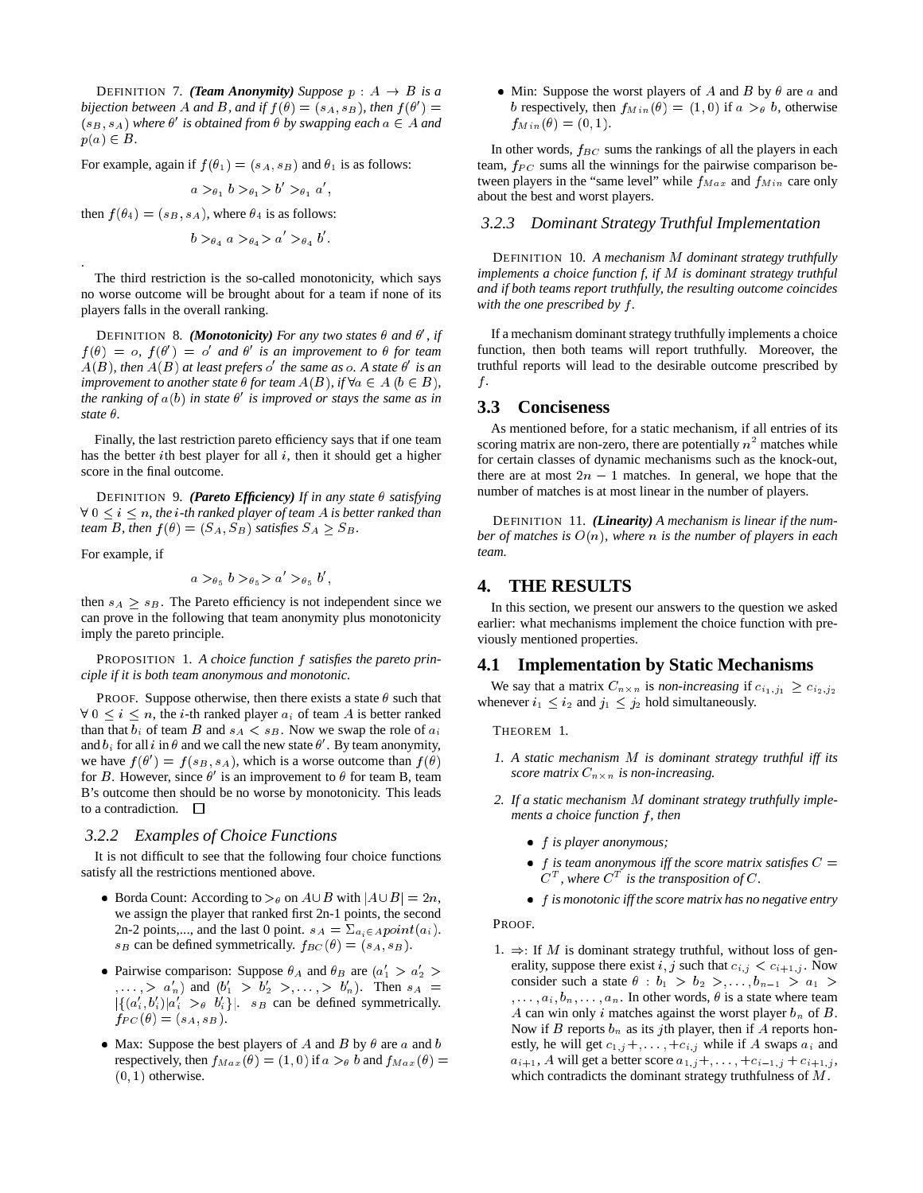**DEFINITION 7.** *(Team Anonymity) Suppose*  $p : A \rightarrow B$  *is a bijection between* A and B, and if  $f(\theta) = (s_A, s_B)$ , then  $f(\theta') =$  $(s_B, s_A)$  where  $\theta'$  is obtained from  $\theta$  by swapping each  $a \in A$  and  $p(a) \in B$ .

For example, again if  $f(\theta_1) = (s_A, s_B)$  and  $\theta_1$  is as follows:

$$
a >_{\theta_1} b >_{\theta_1} b' >_{\theta_1} a',
$$

then  $f(\theta_4) = (s_B, s_A)$ , where  $\theta_4$  is as follows:

$$
b >_{\theta_4} a >_{\theta_4} a > a' >_{\theta_4} b'.
$$

The third restriction is the so-called monotonicity, which says no worse outcome will be brought about for a team if none of its players falls in the overall ranking.

DEFINITION 8. *(Monotonicity)* For any two states  $\theta$  and  $\theta'$ , if  $f(\theta) = o$ ,  $f(\theta') = o'$  and  $\theta'$  is an improvement to  $\theta$  for team  $A(B)$ , then  $A(B)$  at least prefers  $o'$  the same as  $o$ . A state  $\theta'$  is an *improvement to another state*  $\theta$  *for team*  $A(B)$ *, if*  $\forall a \in A$   $(b \in B)$ *,* the ranking of  $a(b)$  in state  $\theta'$  is improved or stays the same as in *state*  $\theta$ .

Finally, the last restriction pareto efficiency says that if one team has the better ith best player for all  $i$ , then it should get a higher score in the final outcome.

DEFINITION 9. *(Pareto Efficiency)* If in any state  $\theta$  satisfying  $8 \forall 0 \leq i \leq n$ , the *i-th ranked player of team A is better ranked than team B, then*  $f(\theta) = (S_A, S_B)$  *satisfies*  $S_A \geq S_B$ *.* 

For example, if

.

$$
a >_{\theta_5} b >_{\theta_5} a' >_{\theta_5} b',
$$

then  $s_A \geq s_B$ . The Pareto efficiency is not independent since we can prove in the following that team anonymity plus monotonicity imply the pareto principle.

PROPOSITION 1. *A choice function* f *satisfies the pareto principle if it is both team anonymous and monotonic.*

PROOF. Suppose otherwise, then there exists a state  $\theta$  such that  $\forall 0 \leq i \leq n$ , the *i*-th ranked player  $a_i$  of team A is better ranked than that  $b_i$  of team B and  $s_A < s_B$ . Now we swap the role of  $a_i$ and  $b_i$  for all i in  $\theta$  and we call the new state  $\theta'$ . By team anonymity, we have  $f(\theta') = f(s_B, s_A)$ , which is a worse outcome than  $f(\theta)$ for B. However, since  $\theta'$  is an improvement to  $\theta$  for team B, team B's outcome then should be no worse by monotonicity. This leads to a contradiction.  $\Box$ 

## *3.2.2 Examples of Choice Functions*

It is not difficult to see that the following four choice functions satisfy all the restrictions mentioned above.

- Borda Count: According to  $\gt_{\theta}$  on  $A \cup B$  with  $|A \cup B| = 2n$ , we assign the player that ranked first 2n-1 points, the second 2n-2 points,..., and the last 0 point.  $s_A = \sum_{a_i \in A} point(a_i)$ .  $s_B$  can be defined symmetrically.  $f_{BC}(\theta) = (s_A, s_B)$ .
- Pairwise comparison: Suppose  $\theta_A$  and  $\theta_B$  are  $(a'_1 > a'_2 > a'_1)$  $(a_1, \ldots, a_n)$  and  $(b'_1 > b'_2 > \ldots, b'_n)$ . Then  $s_A =$  $|\{(a'_i,b'_i)|a'_i >_{\theta} b'_i\}|$ .  $s_B$  can be defined symmetrically.  $f_{PC}(\theta) = (s_A, s_B).$
- Max: Suppose the best players of A and B by  $\theta$  are a and b respectively, then  $f_{Max}(\theta) = (1, 0)$  if  $a >_{\theta} b$  and  $f_{Max}(\theta) =$  $(0, 1)$  otherwise.

• Min: Suppose the worst players of A and B by  $\theta$  are a and b respectively, then  $f_{Min}(\theta) = (1, 0)$  if  $a >_{\theta} b$ , otherwise  $f_{Min}(\theta) = (0, 1).$ 

In other words,  $f_{BC}$  sums the rankings of all the players in each team,  $f_{PC}$  sums all the winnings for the pairwise comparison between players in the "same level" while  $f_{Max}$  and  $f_{Min}$  care only about the best and worst players.

## *3.2.3 Dominant Strategy Truthful Implementation*

DEFINITION 10. *A mechanism* <sup>M</sup> *dominant strategy truthfully implements a choice function f, if* <sup>M</sup> *is dominant strategy truthful and if both teams report truthfully, the resulting outcome coincides with the one prescribed by* f *.*

If a mechanism dominant strategy truthfully implements a choice function, then both teams will report truthfully. Moreover, the truthful reports will lead to the desirable outcome prescribed by  $f$ .

# **3.3 Conciseness**

As mentioned before, for a static mechanism, if all entries of its scoring matrix are non-zero, there are potentially  $n^2$  matches while for certain classes of dynamic mechanisms such as the knock-out, there are at most  $2n - 1$  matches. In general, we hope that the number of matches is at most linear in the number of players.

DEFINITION 11. *(Linearity) A mechanism is linear if the number of matches is* O(n)*, where* <sup>n</sup> *is the number of players in each team.*

## **4. THE RESULTS**

In this section, we present our answers to the question we asked earlier: what mechanisms implement the choice function with previously mentioned properties.

#### **4.1 Implementation by Static Mechanisms**

We say that a matrix  $C_{n \times n}$  is *non-increasing* if  $c_{i_1,j_1} \geq c_{i_2,j_2}$ whenever  $i_1 \leq i_2$  and  $j_1 \leq j_2$  hold simultaneously.

THEOREM 1.

- *1. A static mechanism* <sup>M</sup> *is dominant strategy truthful iff its* score matrix  $C_{n \times n}$  is non-increasing.
- *2. If a static mechanism* <sup>M</sup> *dominant strategy truthfully implements a choice function*  $f$ *, then* 
	- f *is player anonymous;*
	- $\bullet$  f is team anonymous iff the score matrix satisfies  $C =$  $C^T$ , where  $C^T$  is the transposition of  $C$ .
	- f *is monotonic iff the score matrix has no negative entry*

PROOF.

1.  $\Rightarrow$ : If M is dominant strategy truthful, without loss of generality, suppose there exist i, j such that  $c_{i,j} < c_{i+1,j}$ . Now consider such a state  $\theta : b_1 > b_2 > \ldots, b_{n-1} > a_1 >$  $, \ldots, a_i, b_n, \ldots, a_n$ . In other words,  $\theta$  is a state where team A can win only i matches against the worst player  $b_n$  of B. Now if B reports  $b_n$  as its jth player, then if A reports honestly, he will get  $c_{1,j}$ +,..., + $c_{i,j}$  while if A swaps  $a_i$  and  $a_{i+1}$ , A will get a better score  $a_{1,j} +$ , ...,  $+c_{i-1,j} + c_{i+1,j}$ , which contradicts the dominant strategy truthfulness of <sup>M</sup>.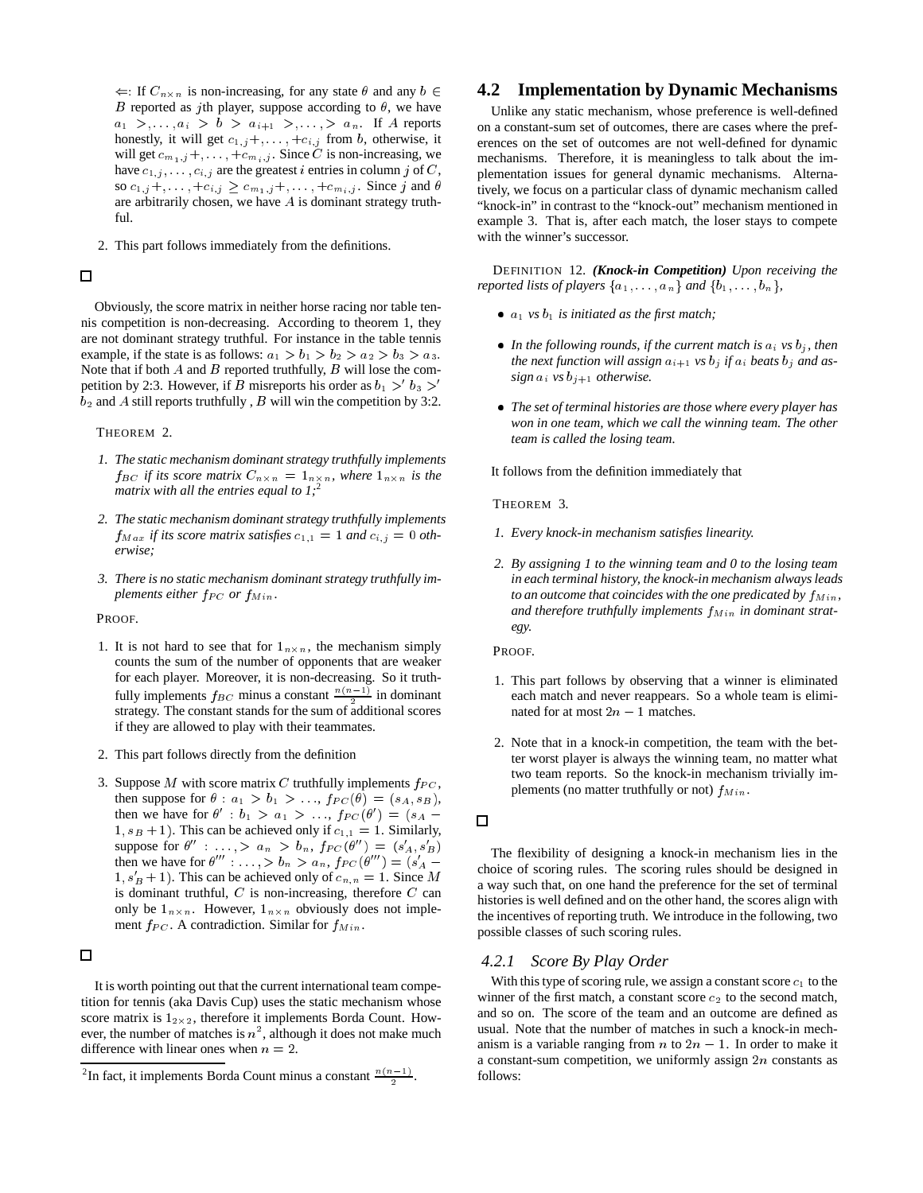$\Leftarrow$ : If  $C_{n \times n}$  is non-increasing, for any state  $\theta$  and any  $b \in$ B reported as jth player, suppose according to  $\theta$ , we have  $a_1 \geq, \ldots, a_i \geq b \geq a_{i+1} \geq, \ldots, \geq a_n$ . If A reports honestly, it will get  $c_{1,j}$  +, ..., + $c_{i,j}$  from b, otherwise, it will get  $c_{m_1,j}$ ,  $\dots$ ,  $+c_{m_i,j}$ . Since C is non-increasing, we have  $c_{1,j}, \ldots, c_{i,j}$  are the greatest *i* entries in column *j* of *C*, so  $c_{1,j} +,..., +c_{i,j} \ge c_{m_1,j} +,..., +c_{m_i,j}$ . Since j and  $\theta$ are arbitrarily chosen, we have  $A$  is dominant strategy truthful.

2. This part follows immediately from the definitions.

## 口

Obviously, the score matrix in neither horse racing nor table tennis competition is non-decreasing. According to theorem 1, they are not dominant strategy truthful. For instance in the table tennis example, if the state is as follows:  $a_1 > b_1 > b_2 > a_2 > b_3 > a_3$ . Note that if both  $A$  and  $B$  reported truthfully,  $B$  will lose the competition by 2:3. However, if B misreports his order as  $b_1 > b_3 >0$  $b_2$  and A still reports truthfully, B will win the competition by 3:2.

#### THEOREM 2.

- *1. The static mechanism dominant strategy truthfully implements*  $f_{BC}$  *if its score matrix*  $C_{n \times n} = 1_{n \times n}$ *, where*  $1_{n \times n}$  *is the matrix with all the entries equal to 1;*<sup>2</sup>
- *2. The static mechanism dominant strategy truthfully implements*  $f_{Max}$  *if its score matrix satisfies*  $c_{1,1} = 1$  *and*  $c_{i,j} = 0$  *otherwise;*
- *3. There is no static mechanism dominant strategy truthfully implements either*  $f_{PC}$  *or*  $f_{Min}$ *.*

PROOF.

- 1. It is not hard to see that for  $1_{n \times n}$ , the mechanism simply counts the sum of the number of opponents that are weaker for each player. Moreover, it is non-decreasing. So it truthfully implements  $f_{BC}$  minus a constant  $\frac{n(n-1)}{2}$  in dominant strategy. The constant stands for the sum of additional scores if they are allowed to play with their teammates.
- 2. This part follows directly from the definition
- 3. Suppose M with score matrix C truthfully implements  $f_{PC}$ , then suppose for  $\theta$  :  $a_1 > b_1 > \ldots$ ,  $f_{PC}(\theta) = (s_A, s_B)$ , then we have for  $\theta'$ :  $b_1 > a_1 > \dots$ ,  $f_{PC}(\theta') = (s_A 1, s_B + 1$ ). This can be achieved only if  $c_{1,1} = 1$ . Similarly, suppose for  $\theta''$  : ..., >  $a_n > b_n$ ,  $f_{PC}(\theta'') = (s'_A, s'_B)$ then we have for  $\theta''' : \ldots > b_n > a_n$ ,  $f_{PC}(\theta''') = (s'_A 1, s'_B + 1$ . This can be achieved only of  $c_{n,n} = 1$ . Since M is dominant truthful,  $C$  is non-increasing, therefore  $C$  can only be  $1_{n \times n}$ . However,  $1_{n \times n}$  obviously does not implement  $f_{PC}$ . A contradiction. Similar for  $f_{Min}$ .

## $\Box$

It is worth pointing out that the current international team competition for tennis (aka Davis Cup) uses the static mechanism whose score matrix is  $1_{2\times 2}$ , therefore it implements Borda Count. However, the number of matches is  $n^2$ , although it does not make much difference with linear ones when  $n = 2$ .

# **4.2 Implementation by Dynamic Mechanisms**

Unlike any static mechanism, whose preference is well-defined on a constant-sum set of outcomes, there are cases where the preferences on the set of outcomes are not well-defined for dynamic mechanisms. Therefore, it is meaningless to talk about the implementation issues for general dynamic mechanisms. Alternatively, we focus on a particular class of dynamic mechanism called "knock-in" in contrast to the "knock-out" mechanism mentioned in example 3. That is, after each match, the loser stays to compete with the winner's successor.

DEFINITION 12. *(Knock-in Competition) Upon receiving the reported lists of players*  $\{a_1, \ldots, a_n\}$  *and*  $\{b_1, \ldots, b_n\}$ ,

- $a_1$  *vs*  $b_1$  *is initiated as the first match;*
- In the following rounds, if the current match is  $a_i$  *vs*  $b_j$ *, then the next function will assign*  $a_{i+1}$  *vs*  $b_i$  *if*  $a_i$  *beats*  $b_i$  *and assign*  $a_i$  *vs*  $b_{j+1}$  *otherwise.*
- *The set of terminal histories are those where every player has won in one team, which we call the winning team. The other team is called the losing team.*

It follows from the definition immediately that

THEOREM 3.

- *1. Every knock-in mechanism satisfies linearity.*
- *2. By assigning 1 to the winning team and 0 to the losing team in each terminal history, the knock-in mechanism always leads to an outcome that coincides with the one predicated by*  $f_{Min}$ , and therefore truthfully implements  $f_{Min}$  in dominant strat*egy.*

PROOF.

- 1. This part follows by observing that a winner is eliminated each match and never reappears. So a whole team is eliminated for at most  $2n - 1$  matches.
- 2. Note that in a knock-in competition, the team with the better worst player is always the winning team, no matter what two team reports. So the knock-in mechanism trivially implements (no matter truthfully or not)  $f_{Min}$ .

The flexibility of designing a knock-in mechanism lies in the choice of scoring rules. The scoring rules should be designed in a way such that, on one hand the preference for the set of terminal histories is well defined and on the other hand, the scores align with the incentives of reporting truth. We introduce in the following, two possible classes of such scoring rules.

## *4.2.1 Score By Play Order*

With this type of scoring rule, we assign a constant score  $c_1$  to the winner of the first match, a constant score  $c_2$  to the second match, and so on. The score of the team and an outcome are defined as usual. Note that the number of matches in such a knock-in mechanism is a variable ranging from  $n$  to  $2n - 1$ . In order to make it a constant-sum competition, we uniformly assign  $2n$  constants as follows:

<sup>&</sup>lt;sup>2</sup>In fact, it implements Borda Count minus a constant  $\frac{n(n-1)}{2}$ .

 $\Box$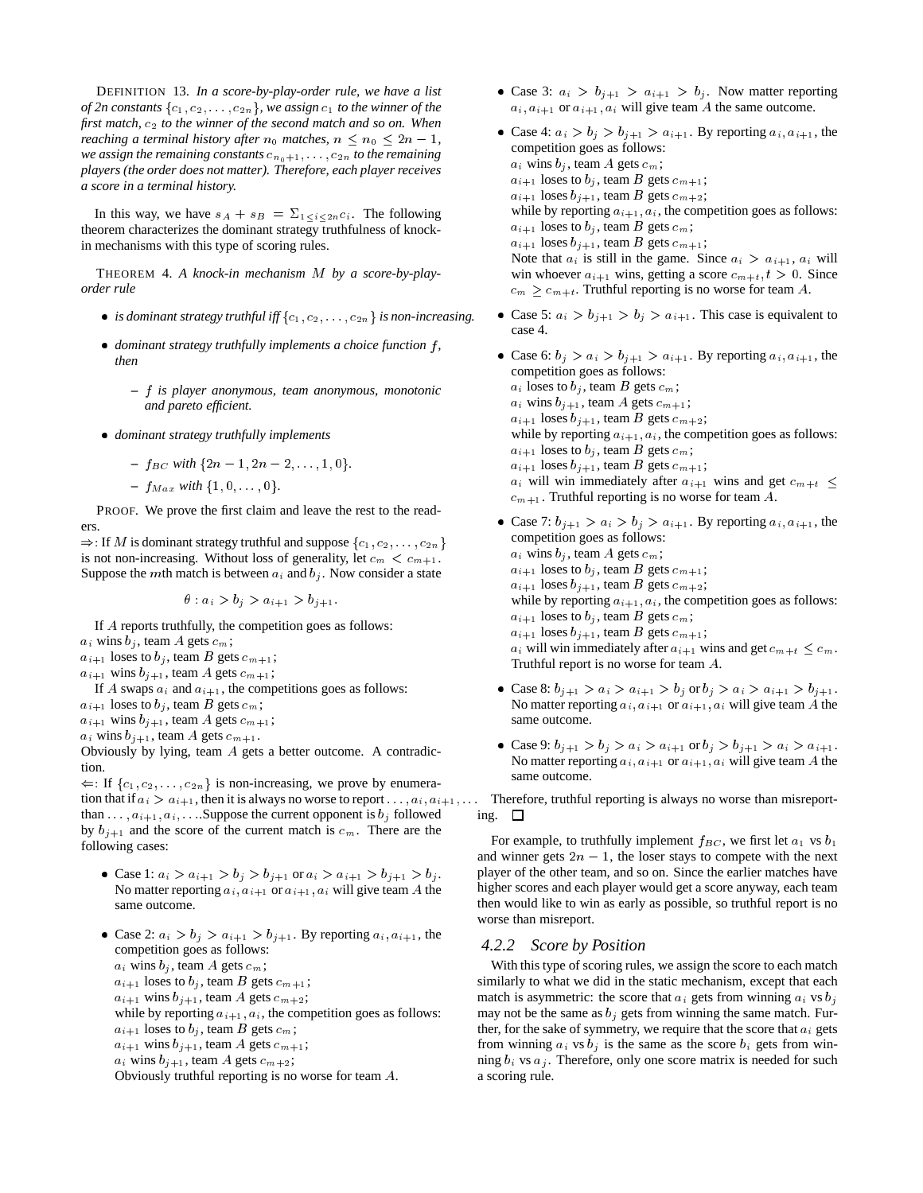DEFINITION 13. *In a score-by-play-order rule, we have a list of 2n constants*  $\{c_1, c_2, \ldots, c_{2n}\}$ , we assign  $c_1$  *to the winner of the first match,*  $c_2$  *to the winner of the second match and so on. When reaching a terminal history after*  $n_0$  *matches,*  $n \leq n_0 \leq 2n - 1$ *, we assign the remaining constants*  $c_{n_0+1}, \ldots, c_{2n}$  *to the remaining players (the order does not matter). Therefore, each player receives a score in a terminal history.*

In this way, we have  $s_A + s_B = \sum_{1 \leq i \leq 2n} c_i$ . The following theorem characterizes the dominant strategy truthfulness of knockin mechanisms with this type of scoring rules.

THEOREM 4. *A knock-in mechanism* <sup>M</sup> *by a score-by-playorder rule*

- *is dominant strategy truthful iff*  $\{c_1, c_2, \ldots, c_{2n}\}$  *is non-increasing.*
- dominant strategy truthfully implements a choice function f, *then*
	- **–** f *is player anonymous, team anonymous, monotonic and pareto efficient.*
- *dominant strategy truthfully implements*

- 
$$
f_{BC}
$$
 with  $\{2n-1, 2n-2, ..., 1, 0\}.$ 

 $- f_{Max}$  *with*  $\{1, 0, \ldots, 0\}$ .

PROOF. We prove the first claim and leave the rest to the readers.

 $\Rightarrow$ : If M is dominant strategy truthful and suppose  $\{c_1, c_2, \ldots, c_{2n}\}$ is not non-increasing. Without loss of generality, let  $c_m < c_{m+1}$ . Suppose the mth match is between  $a_i$  and  $b_i$ . Now consider a state

 $\theta: a_i > b_j > a_{i+1} > b_{i+1}.$ 

If A reports truthfully, the competition goes as follows:

- $a_i$  wins  $b_j$ , team A gets  $c_m$ ;
- $a_{i+1}$  loses to  $b_j$ , team B gets  $c_{m+1}$ ;
- $a_{i+1}$  wins  $b_{j+1}$ , team A gets  $c_{m+1}$ ;
- If A swaps  $a_i$  and  $a_{i+1}$ , the competitions goes as follows:
- $a_{i+1}$  loses to  $b_j$ , team B gets  $c_m$ ;

 $a_{i+1}$  wins  $b_{j+1}$ , team A gets  $c_{m+1}$ ;

 $a_i$  wins  $b_{i+1}$ , team A gets  $c_{m+1}$ .

Obviously by lying, team A gets a better outcome. A contradiction.

 $\Leftarrow$ : If  $\{c_1, c_2, \ldots, c_{2n}\}$  is non-increasing, we prove by enumeration that if  $a_i > a_{i+1}$ , then it is always no worse to report  $\ldots, a_i, a_{i+1}, \ldots$  Therefore, truthful reporting is always no worse than misreportthan  $\ldots$ ,  $a_{i+1}, a_i$ ,  $\ldots$  Suppose the current opponent is  $b_i$  followed by  $b_{j+1}$  and the score of the current match is  $c_m$ . There are the following cases:

- Case 1:  $a_i > a_{i+1} > b_j > b_{j+1}$  or  $a_i > a_{i+1} > b_{j+1} > b_j$ . No matter reporting  $a_i$ ,  $a_{i+1}$  or  $a_{i+1}$ ,  $a_i$  will give team A the same outcome.
- Case 2:  $a_i > b_j > a_{i+1} > b_{j+1}$ . By reporting  $a_i, a_{i+1}$ , the competition goes as follows:  $a_i$  wins  $b_i$ , team A gets  $c_m$ ;  $a_{i+1}$  loses to  $b_i$ , team B gets  $c_{m+1}$ ;  $a_{i+1}$  wins  $b_{i+1}$ , team A gets  $c_{m+2}$ ;
	- while by reporting  $a_{i+1}, a_i$ , the competition goes as follows:  $a_{i+1}$  loses to  $b_i$ , team B gets  $c_m$ ;
	- $a_{i+1}$  wins  $b_{i+1}$ , team A gets  $c_{m+1}$ ;

 $a_i$  wins  $b_{j+1}$ , team A gets  $c_{m+2}$ ;

Obviously truthful reporting is no worse for team A.

- Case 3:  $a_i > b_{j+1} > a_{i+1} > b_j$ . Now matter reporting  $a_i$ ,  $a_{i+1}$  or  $a_{i+1}$ ,  $a_i$  will give team A the same outcome.
- Case 4:  $a_i > b_j > b_{j+1} > a_{i+1}$ . By reporting  $a_i, a_{i+1}$ , the competition goes as follows:  $a_i$  wins  $b_j$ , team A gets  $c_m$ ;  $a_{i+1}$  loses to  $b_j$ , team B gets  $c_{m+1}$ ;  $a_{i+1}$  loses  $b_{i+1}$ , team B gets  $c_{m+2}$ ; while by reporting  $a_{i+1}$ ,  $a_i$ , the competition goes as follows:  $a_{i+1}$  loses to  $b_i$ , team B gets  $c_m$ ;  $a_{i+1}$  loses  $b_{j+1}$ , team B gets  $c_{m+1}$ ; Note that  $a_i$  is still in the game. Since  $a_i > a_{i+1}$ ,  $a_i$  will win whoever  $a_{i+1}$  wins, getting a score  $c_{m+t}$ ,  $t > 0$ . Since  $c_m \geq c_{m+t}$ . Truthful reporting is no worse for team A.
- Case 5:  $a_i > b_{j+1} > b_j > a_{i+1}$ . This case is equivalent to case 4.
- Case 6:  $b_j > a_i > b_{j+1} > a_{i+1}$ . By reporting  $a_i, a_{i+1}$ , the competition goes as follows:  $a_i$  loses to  $b_j$ , team B gets  $c_m$ ;  $a_i$  wins  $b_{j+1}$ , team A gets  $c_{m+1}$ ;  $a_{i+1}$  loses  $b_{i+1}$ , team B gets  $c_{m+2}$ ; while by reporting  $a_{i+1}$ ,  $a_i$ , the competition goes as follows:  $a_{i+1}$  loses to  $b_i$ , team B gets  $c_m$ ;  $a_{i+1}$  loses  $b_{i+1}$ , team B gets  $c_{m+1}$ ;  $a_i$  will win immediately after  $a_{i+1}$  wins and get  $c_{m+t} \leq$  $c_{m+1}$ . Truthful reporting is no worse for team A.
- Case 7:  $b_{j+1} > a_i > b_j > a_{i+1}$ . By reporting  $a_i, a_{i+1}$ , the competition goes as follows:  $a_i$  wins  $b_j$ , team A gets  $c_m$ ;  $a_{i+1}$  loses to  $b_j$ , team B gets  $c_{m+1}$ ;  $a_{i+1}$  loses  $b_{j+1}$ , team B gets  $c_{m+2}$ ; while by reporting  $a_{i+1}$ ,  $a_i$ , the competition goes as follows:  $a_{i+1}$  loses to  $b_i$ , team B gets  $c_m$ ;  $a_{i+1}$  loses  $b_{j+1}$ , team B gets  $c_{m+1}$ ;  $a_i$  will win immediately after  $a_{i+1}$  wins and get  $c_{m+t} \leq c_m$ . Truthful report is no worse for team A.
- Case 8:  $b_{j+1} > a_i > a_{i+1} > b_j$  or  $b_j > a_i > a_{i+1} > b_{j+1}$ . No matter reporting  $a_i$ ,  $a_{i+1}$  or  $a_{i+1}$ ,  $a_i$  will give team A the same outcome.
- Case 9:  $b_{j+1} > b_j > a_i > a_{i+1}$  or  $b_j > b_{j+1} > a_i > a_{i+1}$ . No matter reporting  $a_i$ ,  $a_{i+1}$  or  $a_{i+1}$ ,  $a_i$  will give team A the same outcome.

ing.  $\square$ 

For example, to truthfully implement  $f_{BC}$ , we first let  $a_1$  vs  $b_1$ and winner gets  $2n - 1$ , the loser stays to compete with the next player of the other team, and so on. Since the earlier matches have higher scores and each player would get a score anyway, each team then would like to win as early as possible, so truthful report is no worse than misreport.

#### *4.2.2 Score by Position*

With this type of scoring rules, we assign the score to each match similarly to what we did in the static mechanism, except that each match is asymmetric: the score that  $a_i$  gets from winning  $a_i$  vs  $b_i$ may not be the same as  $b_i$  gets from winning the same match. Further, for the sake of symmetry, we require that the score that  $a_i$  gets from winning  $a_i$  vs  $b_j$  is the same as the score  $b_i$  gets from winning  $b_i$  vs  $a_j$ . Therefore, only one score matrix is needed for such a scoring rule.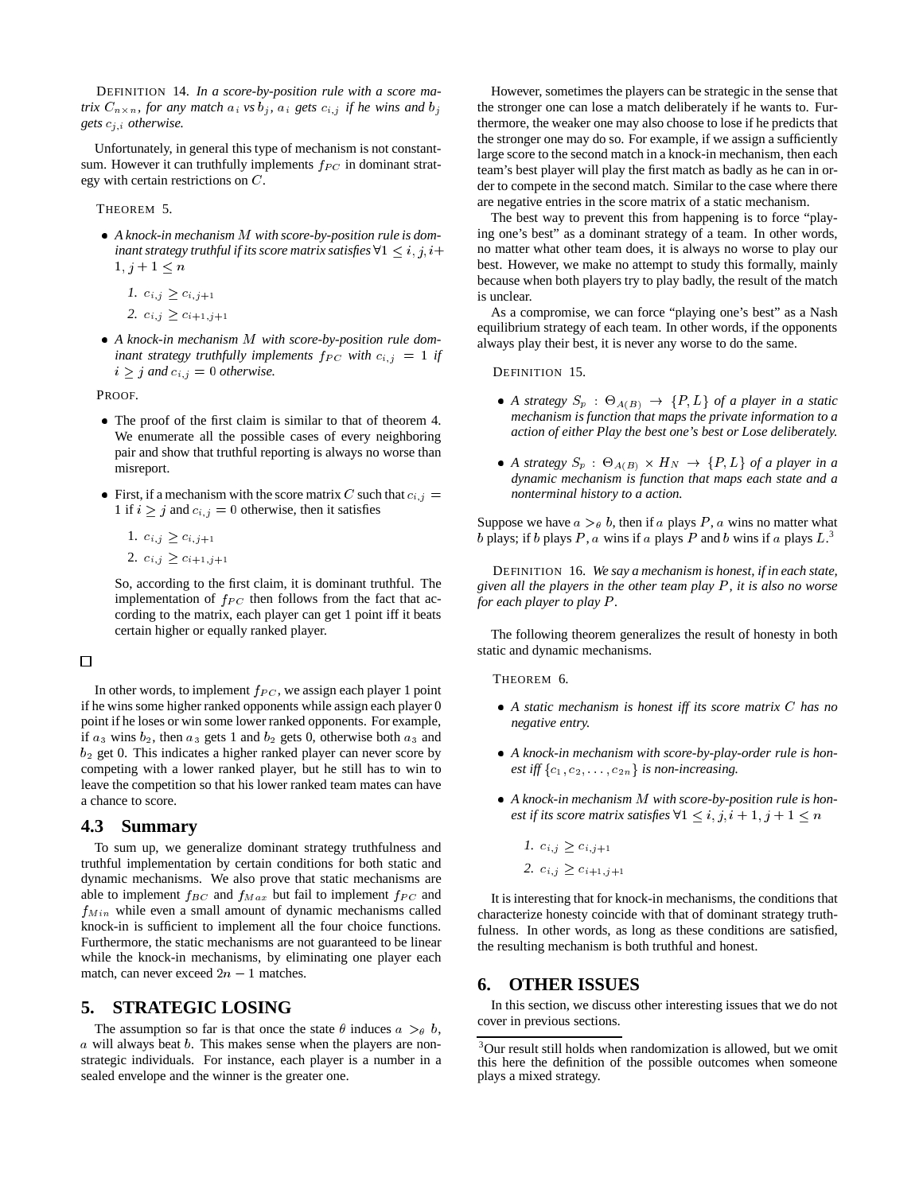DEFINITION 14. *In a score-by-position rule with a score matrix*  $C_{n \times n}$ , for any match  $a_i$  *vs*  $b_j$ ,  $a_i$  *gets*  $c_{i,j}$  *if he wins and*  $b_j$ *gets* cj;i *otherwise.*

Unfortunately, in general this type of mechanism is not constantsum. However it can truthfully implements  $f_{PC}$  in dominant strategy with certain restrictions on C.

THEOREM 5.

- *A knock-in mechanism* <sup>M</sup> *with score-by-position rule is dominant strategy truthful if its score matrix satisfies*  $\forall 1 \leq i, j, i+$  $1, j + 1 \leq n$ 
	- *1.*  $c_{i,j} \geq c_{i,j+1}$ 2.  $c_{i,j} \geq c_{i+1,j+1}$
- *A knock-in mechanism* <sup>M</sup> *with score-by-position rule dominant strategy truthfully implements*  $f_{PC}$  *with*  $c_{i,j} = 1$  *if*  $i \geq j$  *and*  $c_{i,j} = 0$  *otherwise.*

PROOF.

- The proof of the first claim is similar to that of theorem 4. We enumerate all the possible cases of every neighboring pair and show that truthful reporting is always no worse than misreport.
- First, if a mechanism with the score matrix C such that  $c_{i,j} =$ 1 if  $i \geq j$  and  $c_{i,j} = 0$  otherwise, then it satisfies
	- 1.  $c_{i,j} \geq c_{i,j+1}$ 2.  $c_{i,j} \geq c_{i+1,j+1}$

So, according to the first claim, it is dominant truthful. The implementation of  $f_{PC}$  then follows from the fact that according to the matrix, each player can get 1 point iff it beats certain higher or equally ranked player.

 $\Box$ 

In other words, to implement  $f_{PC}$ , we assign each player 1 point if he wins some higher ranked opponents while assign each player 0 point if he loses or win some lower ranked opponents. For example, if  $a_3$  wins  $b_2$ , then  $a_3$  gets 1 and  $b_2$  gets 0, otherwise both  $a_3$  and  $b_2$  get 0. This indicates a higher ranked player can never score by competing with a lower ranked player, but he still has to win to leave the competition so that his lower ranked team mates can have a chance to score.

#### **4.3 Summary**

To sum up, we generalize dominant strategy truthfulness and truthful implementation by certain conditions for both static and dynamic mechanisms. We also prove that static mechanisms are able to implement  $f_{BC}$  and  $f_{Max}$  but fail to implement  $f_{PC}$  and  $f_{Min}$  while even a small amount of dynamic mechanisms called knock-in is sufficient to implement all the four choice functions. Furthermore, the static mechanisms are not guaranteed to be linear while the knock-in mechanisms, by eliminating one player each match, can never exceed  $2n - 1$  matches.

# **5. STRATEGIC LOSING**

The assumption so far is that once the state  $\theta$  induces  $a >_{\theta} b$ ,  $\alpha$  will always beat  $\beta$ . This makes sense when the players are nonstrategic individuals. For instance, each player is a number in a sealed envelope and the winner is the greater one.

However, sometimes the players can be strategic in the sense that the stronger one can lose a match deliberately if he wants to. Furthermore, the weaker one may also choose to lose if he predicts that the stronger one may do so. For example, if we assign a sufficiently large score to the second match in a knock-in mechanism, then each team's best player will play the first match as badly as he can in order to compete in the second match. Similar to the case where there are negative entries in the score matrix of a static mechanism.

The best way to prevent this from happening is to force "playing one's best" as a dominant strategy of a team. In other words, no matter what other team does, it is always no worse to play our best. However, we make no attempt to study this formally, mainly because when both players try to play badly, the result of the match is unclear.

As a compromise, we can force "playing one's best" as a Nash equilibrium strategy of each team. In other words, if the opponents always play their best, it is never any worse to do the same.

DEFINITION 15.

- A strategy  $S_p$  :  $\Theta_{A(B)} \rightarrow \{P, L\}$  of a player in a static *mechanism is function that maps the private information to a action of either Play the best one's best or Lose deliberately.*
- A strategy  $S_p$  :  $\Theta_{A(B)} \times H_N \rightarrow \{P, L\}$  of a player in a *dynamic mechanism is function that maps each state and a nonterminal history to a action.*

Suppose we have  $a >_{\theta} b$ , then if a plays P, a wins no matter what b plays; if b plays P, a wins if a plays P and b wins if a plays  $L^3$ .

DEFINITION 16. *We say a mechanism is honest, if in each state, given all the players in the other team play* <sup>P</sup> *, it is also no worse for each player to play P.* 

The following theorem generalizes the result of honesty in both static and dynamic mechanisms.

THEOREM 6.

- *A static mechanism is honest iff its score matrix* C *has no negative entry.*
- *A knock-in mechanism with score-by-play-order rule is honest iff*  $\{c_1, c_2, \ldots, c_{2n}\}$  *is non-increasing.*
- *A knock-in mechanism* <sup>M</sup> *with score-by-position rule is honest if its score matrix satisfies*  $\forall 1 \leq i, j, i + 1, j + 1 \leq n$ 
	- *1.*  $c_{i,j} \geq c_{i,j+1}$
	- 2.  $c_{i,j} \geq c_{i+1,j+1}$

It is interesting that for knock-in mechanisms, the conditions that characterize honesty coincide with that of dominant strategy truthfulness. In other words, as long as these conditions are satisfied, the resulting mechanism is both truthful and honest.

# **6. OTHER ISSUES**

In this section, we discuss other interesting issues that we do not cover in previous sections.

<sup>&</sup>lt;sup>3</sup>Our result still holds when randomization is allowed, but we omit this here the definition of the possible outcomes when someone plays a mixed strategy.